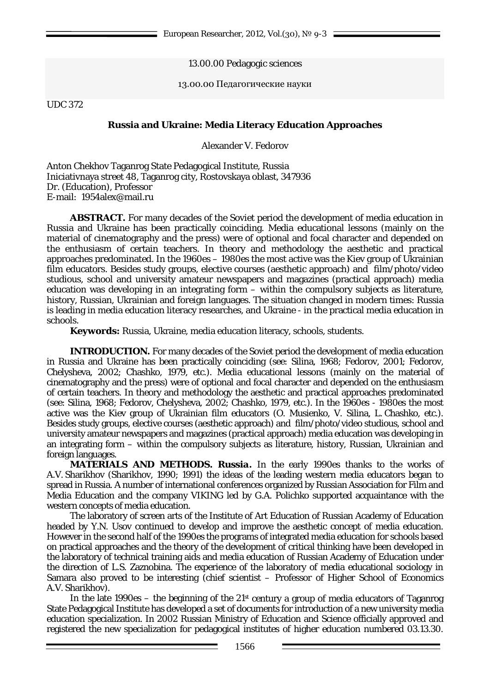# 13.00.00 Pedagogic sciences

#### 13.00.00 Педагогические науки

UDC 372

# **Russia and Ukraine: Media Literacy Education Approaches**

Alexander V. Fedorov

Anton Chekhov Taganrog State Pedagogical Institute, Russia Iniciativnaya street 48, Taganrog city, Rostovskaya oblast, 347936 Dr. (Education), Professor E-mail: 1954alex@mail.ru

**ABSTRACT.** For many decades of the Soviet period the development of media education in Russia and Ukraine has been practically coinciding. Media educational lessons (mainly on the material of cinematography and the press) were of optional and focal character and depended on the enthusiasm of certain teachers. In theory and methodology the aesthetic and practical approaches predominated. In the 1960es – 1980es the most active was the Kiev group of Ukrainian film educators. Besides study groups, elective courses (aesthetic approach) and film/photo/video studious, school and university amateur newspapers and magazines (practical approach) media education was developing in an integrating form – within the compulsory subjects as literature, history, Russian, Ukrainian and foreign languages. The situation changed in modern times: Russia is leading in media education literacy researches, and Ukraine - in the practical media education in schools.

**Keywords:** Russia, Ukraine, media education literacy, schools, students.

**INTRODUCTION.** For many decades of the Soviet period the development of media education in Russia and Ukraine has been practically coinciding (see: Silina, 1968; Fedorov, 2001; Fedorov, Chelysheva, 2002; Chashko, 1979, etc.). Media educational lessons (mainly on the material of cinematography and the press) were of optional and focal character and depended on the enthusiasm of certain teachers. In theory and methodology the aesthetic and practical approaches predominated (see: Silina, 1968; Fedorov, Chelysheva, 2002; Chashko, 1979, etc.). In the 1960es - 1980es the most active was the Kiev group of Ukrainian film educators (O. Musienko, V. Silina, L. Chashko, etc.). Besides study groups, elective courses (aesthetic approach) and film/photo/video studious, school and university amateur newspapers and magazines (practical approach) media education was developing in an integrating form – within the compulsory subjects as literature, history, Russian, Ukrainian and foreign languages.

**MATERIALS AND METHODS.** *Russia.* In the early 1990es thanks to the works of A.V. Sharikhov (Sharikhov, 1990; 1991) the ideas of the leading western media educators began to spread in Russia. A number of international conferences organized by Russian Association for Film and Media Education and the company VIKING led by G.A. Polichko supported acquaintance with the western concepts of media education.

The laboratory of screen arts of the Institute of Art Education of Russian Academy of Education headed by Y.N. Usov continued to develop and improve the aesthetic concept of media education. However in the second half of the 1990es the programs of integrated media education for schools based on practical approaches and the theory of the development of critical thinking have been developed in the laboratory of technical training aids and media education of Russian Academy of Education under the direction of L.S. Zaznobina. The experience of the laboratory of media educational sociology in Samara also proved to be interesting (chief scientist – Professor of Higher School of Economics A.V. Sharikhov).

In the late 1990es – the beginning of the  $21st$  century a group of media educators of Taganrog State Pedagogical Institute has developed a set of documents for introduction of a new university media education specialization. In 2002 Russian Ministry of Education and Science officially approved and registered the new specialization for pedagogical institutes of higher education numbered 03.13.30.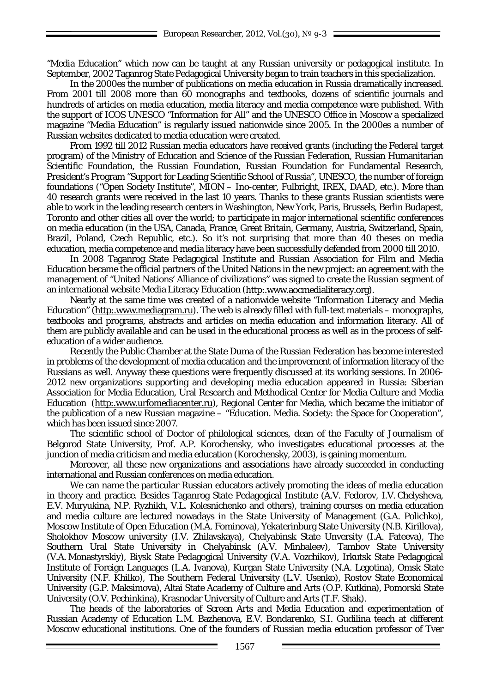"Media Education" which now can be taught at any Russian university or pedagogical institute. In September, 2002 Taganrog State Pedagogical University began to train teachers in this specialization.

In the 2000es the number of publications on media education in Russia dramatically increased. From 2001 till 2008 more than 60 monographs and textbooks, dozens of scientific journals and hundreds of articles on media education, media literacy and media competence were published. With the support of ICOS UNESCO "Information for All" and the UNESCO Office in Moscow a specialized magazine "Media Education" is regularly issued nationwide since 2005. In the 2000es a number of Russian websites dedicated to media education were created.

From 1992 till 2012 Russian media educators have received grants (including the Federal target program) of the Ministry of Education and Science of the Russian Federation, Russian Humanitarian Scientific Foundation, the Russian Foundation, Russian Foundation for Fundamental Research, President's Program "Support for Leading Scientific School of Russia", UNESCO, the number of foreign foundations ("Open Society Institute", MION – Ino-center, Fulbright, IREX, DAAD, etc.). More than 40 research grants were received in the last 10 years. Thanks to these grants Russian scientists were able to work in the leading research centers in Washington, New York, Paris, Brussels, Berlin Budapest, Toronto and other cities all over the world; to participate in major international scientific conferences on media education (in the USA, Canada, France, Great Britain, Germany, Austria, Switzerland, Spain, Brazil, Poland, Czech Republic, etc.). So it's not surprising that more than 40 theses on media education, media competence and media literacy have been successfully defended from 2000 till 2010.

In 2008 Taganrog State Pedagogical Institute and Russian Association for Film and Media Education became the official partners of the United Nations in the new project: an agreement with the management of "United Nations' Alliance of civilizations" was signed to create the Russian segment of an international website Media Literacy Education [\(http:.www.aocmedialiteracy.org\)](http://www.aocmedialiteracy.org/).

Nearly at the same time was created of a nationwide website "Information Literacy and Media Education" [\(http:.www.mediagram.ru\)](http://www.mediagram.ru/). The web is already filled with full-text materials – monographs, textbooks and programs, abstracts and articles on media education and information literacy. All of them are publicly available and can be used in the educational process as well as in the process of selfeducation of a wider audience.

Recently the Public Chamber at the State Duma of the Russian Federation has become interested in problems of the development of media education and the improvement of information literacy of the Russians as well. Anyway these questions were frequently discussed at its working sessions. In 2006- 2012 new organizations supporting and developing media education appeared in Russia: Siberian Association for Media Education, Ural Research and Methodical Center for Media Culture and Media Education [\(http:.www.urfomediacenter.ru\)](http://www.urfomediacenter.ru/), Regional Center for Media, which became the initiator of the publication of a new Russian magazine – "Education. Media. Society: the Space for Cooperation", which has been issued since 2007.

The scientific school of Doctor of philological sciences, dean of the Faculty of Journalism of Belgorod State University, Prof. A.P. Korochensky, who investigates educational processes at the junction of media criticism and media education (Korochensky, 2003), is gaining momentum.

Moreover, all these new organizations and associations have already succeeded in conducting international and Russian conferences on media education.

We can name the particular Russian educators actively promoting the ideas of media education in theory and practice. Besides Taganrog State Pedagogical Institute (A.V. Fedorov, I.V. Chelysheva, E.V. Muryukina, N.P. Ryzhikh, V.L. Kolesnichenko and others), training courses on media education and media culture are lectured nowadays in the State University of Management (G.A. Polichko), Moscow Institute of Open Education (M.A. Fominova), Yekaterinburg State University (N.B. Kirillova), Sholokhov Moscow university (I.V. Zhilavskaya), Chelyabinsk State Unversity (I.A. Fateeva), The Southern Ural State University in Chelyabinsk (A.V. Minbaleev), Tambov State University (V.A. Monastyrskiy), Biysk State Pedagogical University (V.A. Vozchikov), Irkutsk State Pedagogical Institute of Foreign Languages (L.A. Ivanova), Kurgan State University (N.A. Legotina), Omsk State University (N.F. Khilko), The Southern Federal University (L.V. Usenko), Rostov State Economical University (G.P. Maksimova), Altai State Academy of Culture and Arts (O.P. Kutkina), Pomorski State University (O.V. Pechinkina), Krasnodar University of Culture and Arts (T.F. Shak).

The heads of the laboratories of Screen Arts and Media Education and experimentation of Russian Academy of Education L.M. Bazhenova, E.V. Bondarenko, S.I. Gudilina teach at different Moscow educational institutions. One of the founders of Russian media education professor of Tver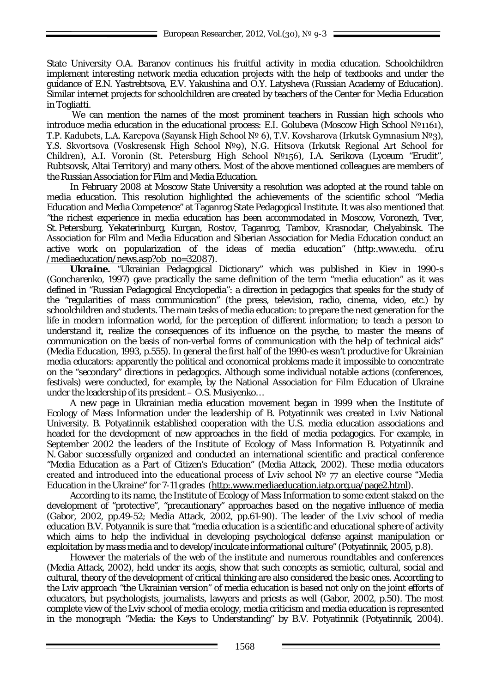State University O.A. Baranov continues his fruitful activity in media education. Schoolchildren implement interesting network media education projects with the help of textbooks and under the guidance of E.N. Yastrebtsova, E.V. Yakushina and O.Y. Latysheva (Russian Academy of Education). Similar internet projects for schoolchildren are created by teachers of the Center for Media Education in Togliatti.

We can mention the names of the most prominent teachers in Russian high schools who introduce media education in the educational process: E.I. Golubeva (Moscow High School №1161), T.P. Kadubets, L.A. Karepova (Sayansk High School № 6), T.V. Kovsharova (Irkutsk Gymnasium №3), Y.S. Skvortsova (Voskresensk High School №9), N.G. Hitsova (Irkutsk Regional Art School for Children), A.I. Voronin (St. Petersburg High School №156), I.A. Serikova (Lyceum "Erudit", Rubtsovsk, Altai Territory) and many others. Most of the above mentioned colleagues are members of the Russian Association for Film and Media Education.

In February 2008 at Moscow State University a resolution was adopted at the round table on media education. This resolution highlighted the achievements of the scientific school "Media Education and Media Competence" at Taganrog State Pedagogical Institute. It was also mentioned that "the richest experience in media education has been accommodated in Moscow, Voronezh, Tver, St. Petersburg, Yekaterinburg, Kurgan, Rostov, Taganrog, Tambov, Krasnodar, Chelyabinsk. The Association for Film and Media Education and Siberian Association for Media Education conduct an active work on popularization of the ideas of media education" [\(http:.www.edu.](http://www.edu.of.ru/mediaeducation/news.asp?ob_no=32087) of.ru [/mediaeducation/news.asp?ob\\_no=32087\)](http://www.edu.of.ru/mediaeducation/news.asp?ob_no=32087).

*Ukraine.* "Ukrainian Pedagogical Dictionary" which was published in Kiev in 1990-s (Goncharenko, 1997) gave practically the same definition of the term "media education" as it was defined in "Russian Pedagogical Encyclopedia": a direction in pedagogics that speaks for the study of the "regularities of mass communication" (the press, television, radio, cinema, video, etc.) by schoolchildren and students. The main tasks of media education: to prepare the next generation for the life in modern information world, for the perception of different information; to teach a person to understand it, realize the consequences of its influence on the psyche, to master the means of communication on the basis of non-verbal forms of communication with the help of technical aids" (Media Education, 1993, p.555). In general the first half of the 1990-es wasn't productive for Ukrainian media educators: apparently the political and economical problems made it impossible to concentrate on the "secondary" directions in pedagogics. Although some individual notable actions (conferences, festivals) were conducted, for example, by the National Association for Film Education of Ukraine under the leadership of its president – O.S. Musivenko...

A new page in Ukrainian media education movement began in 1999 when the Institute of Ecology of Mass Information under the leadership of B. Potyatinnik was created in Lviv National University. B. Potyatinnik established cooperation with the U.S. media education associations and headed for the development of new approaches in the field of media pedagogics. For example, in September 2002 the leaders of the Institute of Ecology of Mass Information B. Potyatinnik and N. Gabor successfully organized and conducted an international scientific and practical conference "Media Education as a Part of Citizen's Education" (Media Attack, 2002). These media educators created and introduced into the educational process of Lviv school № 77 an elective course "Media Education in the Ukraine" for 7-11 grades [\(http:.www.mediaeducation.iatp.org.ua/page2.html\)](http://www.mediaeducation.iatp.org.ua/page2.html).

According to its name, the Institute of Ecology of Mass Information to some extent staked on the development of "protective", "precautionary" approaches based on the negative influence of media (Gabor, 2002, pp.49-52; Media Attack, 2002, pp.61-90). The leader of the Lviv school of media education B.V. Potyannik is sure that "media education is a scientific and educational sphere of activity which aims to help the individual in developing psychological defense against manipulation or exploitation by mass media and to develop/inculcate informational culture" (Potyatinnik, 2005, p.8).

However the materials of the web of the institute and numerous roundtables and conferences (Media Attack, 2002), held under its aegis, show that such concepts as semiotic, cultural, social and cultural, theory of the development of critical thinking are also considered the basic ones. According to the Lviv approach "the Ukrainian version" of media education is based not only on the joint efforts of educators, but psychologists, journalists, lawyers and priests as well (Gabor, 2002, p.50). The most complete view of the Lviv school of media ecology, media criticism and media education is represented in the monograph "Media: the Keys to Understanding" by B.V. Potyatinnik (Potyatinnik, 2004).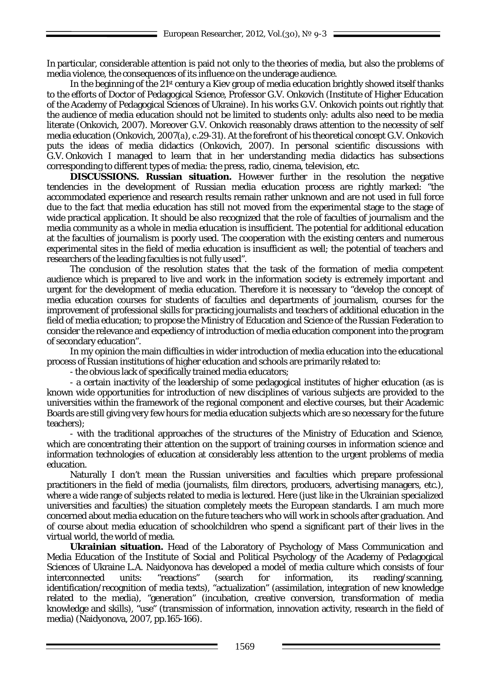In particular, considerable attention is paid not only to the theories of media, but also the problems of media violence, the consequences of its influence on the underage audience.

In the beginning of the 21st century a Kiev group of media education brightly showed itself thanks to the efforts of Doctor of Pedagogical Science, Professor G.V. Onkovich (Institute of Higher Education of the Academy of Pedagogical Sciences of Ukraine). In his works G.V. Onkovich points out rightly that the audience of media education should not be limited to students only: adults also need to be media literate (Onkovich, 2007). Moreover G.V. Onkovich reasonably draws attention to the necessity of self media education (Onkovich, 2007(а), с.29-31). At the forefront of his theoretical concept G.V. Onkovich puts the ideas of media didactics (Onkovich, 2007). In personal scientific discussions with G.V. Onkovich I managed to learn that in her understanding media didactics has subsections corresponding to different types of media: the press, radio, cinema, television, etc.

**DISCUSSIONS. Russian situation.** However further in the resolution the negative tendencies in the development of Russian media education process are rightly marked: "the accommodated experience and research results remain rather unknown and are not used in full force due to the fact that media education has still not moved from the experimental stage to the stage of wide practical application. It should be also recognized that the role of faculties of journalism and the media community as a whole in media education is insufficient. The potential for additional education at the faculties of journalism is poorly used. The cooperation with the existing centers and numerous experimental sites in the field of media education is insufficient as well; the potential of teachers and researchers of the leading faculties is not fully used".

The conclusion of the resolution states that the task of the formation of media competent audience which is prepared to live and work in the information society is extremely important and urgent for the development of media education. Therefore it is necessary to "develop the concept of media education courses for students of faculties and departments of journalism, courses for the improvement of professional skills for practicing journalists and teachers of additional education in the field of media education; to propose the Ministry of Education and Science of the Russian Federation to consider the relevance and expediency of introduction of media education component into the program of secondary education".

In my opinion the main difficulties in wider introduction of media education into the educational process of Russian institutions of higher education and schools are primarily related to:

- the obvious lack of specifically trained media educators;

- a certain inactivity of the leadership of some pedagogical institutes of higher education (as is known wide opportunities for introduction of new disciplines of various subjects are provided to the universities within the framework of the regional component and elective courses, but their Academic Boards are still giving very few hours for media education subjects which are so necessary for the future teachers);

- with the traditional approaches of the structures of the Ministry of Education and Science, which are concentrating their attention on the support of training courses in information science and information technologies of education at considerably less attention to the urgent problems of media education.

Naturally I don't mean the Russian universities and faculties which prepare professional practitioners in the field of media (journalists, film directors, producers, advertising managers, etc.), where a wide range of subjects related to media is lectured. Here (just like in the Ukrainian specialized universities and faculties) the situation completely meets the European standards. I am much more concerned about media education on the future teachers who will work in schools after graduation. And of course about media education of schoolchildren who spend a significant part of their lives in the virtual world, the world of media.

**Ukrainian situation.** Head of the Laboratory of Psychology of Mass Communication and Media Education of the Institute of Social and Political Psychology of the Academy of Pedagogical Sciences of Ukraine L.A. Naidyonova has developed a model of media culture which consists of four interconnected units: "reactions" (search for information, its reading/scanning, identification/recognition of media texts), "actualization" (assimilation, integration of new knowledge related to the media), "generation" (incubation, creative conversion, transformation of media knowledge and skills), "use" (transmission of information, innovation activity, research in the field of media) (Naidyonova, 2007, pp.165-166).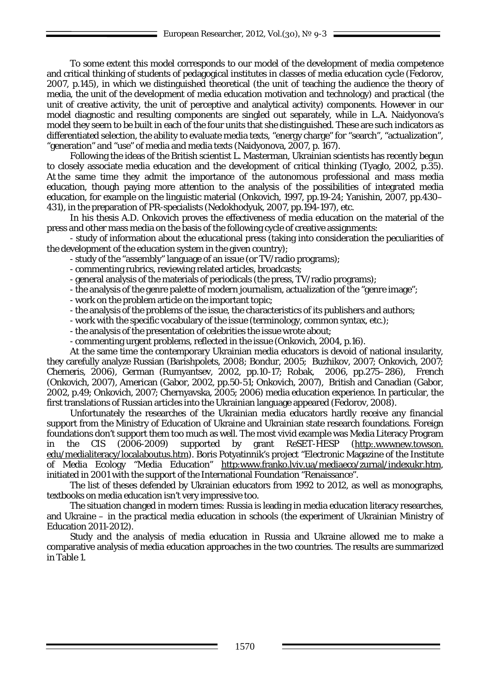To some extent this model corresponds to our model of the development of media competence and critical thinking of students of pedagogical institutes in classes of media education cycle (Fedorov, 2007, p.145), in which we distinguished theoretical (the unit of teaching the audience the theory of media, the unit of the development of media education motivation and technology) and practical (the unit of creative activity, the unit of perceptive and analytical activity) components. However in our model diagnostic and resulting components are singled out separately, while in L.A. Naidyonova's model they seem to be built in each of the four units that she distinguished. These are such indicators as differentiated selection, the ability to evaluate media texts, "energy charge" for "search", "actualization", "generation" and "use" of media and media texts (Naidyonova, 2007, p. 167).

Following the ideas of the British scientist L. Masterman, Ukrainian scientists has recently begun to closely associate media education and the development of critical thinking (Tyaglo, 2002, p.35). At the same time they admit the importance of the autonomous professional and mass media education, though paying more attention to the analysis of the possibilities of integrated media education, for example on the linguistic material (Onkovich, 1997, pp.19-24; Yanishin, 2007, pp.430– 431), in the preparation of PR-specialists (Nedokhodyuk, 2007, pp.194-197), etc.

In his thesis A.D. Onkovich proves the effectiveness of media education on the material of the press and other mass media on the basis of the following cycle of creative assignments:

- study of information about the educational press (taking into consideration the peculiarities of the development of the education system in the given country);

- study of the "assembly" language of an issue (or TV/radio programs);
- commenting rubrics, reviewing related articles, broadcasts;
- general analysis of the materials of periodicals (the press, TV/radio programs);
- the analysis of the genre palette of modern journalism, actualization of the "genre image";
- work on the problem article on the important topic;
- the analysis of the problems of the issue, the characteristics of its publishers and authors;
- work with the specific vocabulary of the issue (terminology, common syntax, etc.);
- the analysis of the presentation of celebrities the issue wrote about;
- commenting urgent problems, reflected in the issue (Onkovich, 2004, p.16).

At the same time the contemporary Ukrainian media educators is devoid of national insularity, they carefully analyze Russian (Barishpolets, 2008; Bondur, 2005; Buzhikov, 2007; Onkovich, 2007; Chemeris, 2006), German (Rumyantsev, 2002, pp.10-17; Robak, 2006, pp.275–286), French (Onkovich, 2007), American (Gabor, 2002, pp.50-51; Onkovich, 2007), British and Canadian (Gabor, 2002, p.49; Onkovich, 2007; Chernyavska, 2005; 2006) media education experience. In particular, the first translations of Russian articles into the Ukrainian language appeared (Fedorov, 2008).

Unfortunately the researches of the Ukrainian media educators hardly receive any financial support from the Ministry of Education of Ukraine and Ukrainian state research foundations. Foreign foundations don't support them too much as well. The most vivid example was Media Literacy Program in the CIS (2006-2009) supported by grant ReSET-HESP [\(http:.wwwnew.towson.](http://wwwnew.towson.edu/medialiteracy/localaboutus.htm) [edu/medialiteracy/localaboutus.htm\)](http://wwwnew.towson.edu/medialiteracy/localaboutus.htm). Boris Potyatinnik's project "Electronic Magazine of the Institute of Media Ecology "Media Education" [http:www.franko.lviv.ua/mediaeco/zurnal/indexukr.htm,](http://www.franko.lviv.ua/mediaeco/zurnal/indexukr.htm) initiated in 2001 with the support of the International Foundation "Renaissance".

The list of theses defended by Ukrainian educators from 1992 to 2012, as well as monographs, textbooks on media education isn't very impressive too.

The situation changed in modern times: Russia is leading in media education literacy researches, and Ukraine – in the practical media education in schools (the experiment of Ukrainian Ministry of Education 2011-2012).

Study and the analysis of media education in Russia and Ukraine allowed me to make a comparative analysis of media education approaches in the two countries. The results are summarized in Table 1.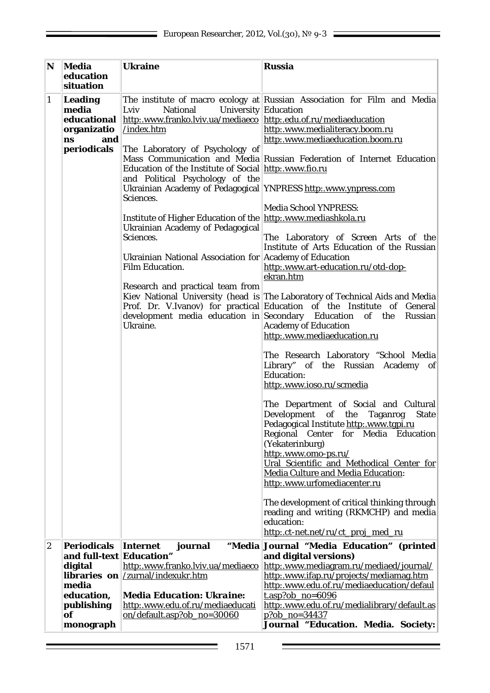| N                | Media<br>education                                        | <b>Ukraine</b>                                                                                                                                                                                                                                                                                                                                                                                                                                        | <b>Russia</b>                                                                                                                                                                                                                                                                                                                                                                                                                                                                                                                                                                                                                                                                                                                                                                                                                                                                                                                  |
|------------------|-----------------------------------------------------------|-------------------------------------------------------------------------------------------------------------------------------------------------------------------------------------------------------------------------------------------------------------------------------------------------------------------------------------------------------------------------------------------------------------------------------------------------------|--------------------------------------------------------------------------------------------------------------------------------------------------------------------------------------------------------------------------------------------------------------------------------------------------------------------------------------------------------------------------------------------------------------------------------------------------------------------------------------------------------------------------------------------------------------------------------------------------------------------------------------------------------------------------------------------------------------------------------------------------------------------------------------------------------------------------------------------------------------------------------------------------------------------------------|
|                  | situation                                                 |                                                                                                                                                                                                                                                                                                                                                                                                                                                       |                                                                                                                                                                                                                                                                                                                                                                                                                                                                                                                                                                                                                                                                                                                                                                                                                                                                                                                                |
| $\mathbf{1}$     | <b>Leading</b><br>media<br>educational<br>organizatio     | University Education<br>Lviv<br><b>National</b><br>http:.www.franko.lviv.ua/mediaeco http:.edu.of.ru/mediaeducation<br>/index.htm                                                                                                                                                                                                                                                                                                                     | The institute of macro ecology at Russian Association for Film and Media<br>http:.www.medialiteracy.boom.ru                                                                                                                                                                                                                                                                                                                                                                                                                                                                                                                                                                                                                                                                                                                                                                                                                    |
|                  | and<br>ns<br>periodicals                                  | The Laboratory of Psychology of<br>Education of the Institute of Social http:.www.fio.ru<br>and Political Psychology of the<br>Ukrainian Academy of Pedagogical YNPRESS http: www.ynpress.com<br>Sciences.<br>Institute of Higher Education of the http:.www.mediashkola.ru<br>Ukrainian Academy of Pedagogical<br>Sciences.<br>Ukrainian National Association for Academy of Education<br><b>Film Education.</b><br>Research and practical team from | http:.www.mediaeducation.boom.ru<br>Mass Communication and Media Russian Federation of Internet Education<br><b>Media School YNPRESS:</b><br>The Laboratory of Screen Arts of the<br>Institute of Arts Education of the Russian<br>http:.www.art-education.ru/otd-dop-<br>ekran.htm                                                                                                                                                                                                                                                                                                                                                                                                                                                                                                                                                                                                                                            |
|                  |                                                           | Ukraine.                                                                                                                                                                                                                                                                                                                                                                                                                                              | Kiev National University (head is The Laboratory of Technical Aids and Media<br>Prof. Dr. V.Ivanov) for practical Education of the Institute of General<br>development media education in Secondary Education of the Russian<br><b>Academy of Education</b><br>http:.www.mediaeducation.ru<br>The Research Laboratory "School Media<br>Library" of the Russian Academy of<br><b>Education:</b><br>http:.www.ioso.ru/scmedia<br>The Department of Social and Cultural<br>Development<br>of the<br>Taganrog<br><b>State</b><br>Pedagogical Institute http:.www.tgpi.ru<br>Regional Center for Media Education<br>(Yekaterinburg)<br>http:.www.omo-ps.ru/<br>Ural Scientific and Methodical Center for<br><b>Media Culture and Media Education:</b><br>http:.www.urfomediacenter.ru<br>The development of critical thinking through<br>reading and writing (RKMCHP) and media<br>education:<br>http:.ct-net.net/ru/ct_proj_med_ru |
| $\boldsymbol{2}$ | <b>Periodicals</b><br>and full-text Education"<br>digital | Internet<br>journal<br>http:.www.franko.lviv.ua/mediaeco<br><b>libraries</b> on $ /z$ urnal/indexukr.htm                                                                                                                                                                                                                                                                                                                                              | "Media Journal "Media Education" (printed<br>and digital versions)<br>http:.www.mediagram.ru/mediaed/journal/<br>http:.www.ifap.ru/projects/mediamag.htm                                                                                                                                                                                                                                                                                                                                                                                                                                                                                                                                                                                                                                                                                                                                                                       |
|                  | media<br>education,<br>publishing<br>of<br>monograph      | <b>Media Education: Ukraine:</b><br>http:.www.edu.of.ru/mediaeducati<br>on/default.asp?ob no=30060                                                                                                                                                                                                                                                                                                                                                    | http:.www.edu.of.ru/mediaeducation/defaul<br>$t.$ asp?ob_no=6096<br>http:.www.edu.of.ru/medialibrary/default.as<br>$p?ob$ no=34437<br>Journal "Education. Media. Society:                                                                                                                                                                                                                                                                                                                                                                                                                                                                                                                                                                                                                                                                                                                                                      |

Ē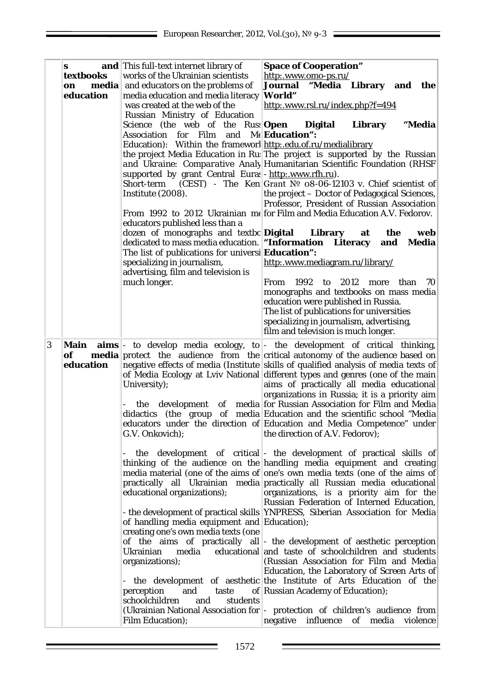|   | S<br>textbooks<br>media<br>on<br>education | and This full-text internet library of<br>works of the Ukrainian scientists<br>and educators on the problems of<br>media education and media literacy<br>was created at the web of the<br>Russian Ministry of Education<br>Science (the web of the Russ <b>Open</b><br>Association for Film and Me <b>Education</b> ":<br>Education): Within the frameworl http:.edu.of.ru/medialibrary<br>supported by grant Central Euras - http:.www.rfh.ru).<br>Short-term<br>Institute (2008).<br>educators published less than a<br>dozen of monographs and textbo Digital<br>dedicated to mass media education. <b>"Information Literacy</b><br>The list of publications for universi Education":<br>specializing in journalism,<br>advertising, film and television is<br>much longer. | <b>Space of Cooperation"</b><br>http:.www.omo-ps.ru/<br>"Media Library and the<br>Journal<br>World"<br>http:.www.rsl.ru/index.php?f=494<br><b>Digital</b><br>Library<br>"Media<br>the project Media Education in Ru. The project is supported by the Russian<br>and Ukraine: Comparative Analy Humanitarian Scientific Foundation (RHSF<br>(CEST) - The Ken Grant $N0$ 08-06-12103 v. Chief scientist of<br>the project - Doctor of Pedagogical Sciences,<br>Professor, President of Russian Association<br>From 1992 to 2012 Ukrainian me for Film and Media Education A.V. Fedorov.<br>Library<br>at<br>the<br>web<br><b>Media</b><br>and<br>http:.www.mediagram.ru/library/<br>1992<br>to 2012 more than<br>From<br>70<br>monographs and textbooks on mass media<br>education were published in Russia.<br>The list of publications for universities<br>specializing in journalism, advertising,<br>film and television is much longer.                                                                                                                                                                                                                                                                                                                                                                                                                                                                                                                                                                                                                                                                                                                                       |
|---|--------------------------------------------|--------------------------------------------------------------------------------------------------------------------------------------------------------------------------------------------------------------------------------------------------------------------------------------------------------------------------------------------------------------------------------------------------------------------------------------------------------------------------------------------------------------------------------------------------------------------------------------------------------------------------------------------------------------------------------------------------------------------------------------------------------------------------------|----------------------------------------------------------------------------------------------------------------------------------------------------------------------------------------------------------------------------------------------------------------------------------------------------------------------------------------------------------------------------------------------------------------------------------------------------------------------------------------------------------------------------------------------------------------------------------------------------------------------------------------------------------------------------------------------------------------------------------------------------------------------------------------------------------------------------------------------------------------------------------------------------------------------------------------------------------------------------------------------------------------------------------------------------------------------------------------------------------------------------------------------------------------------------------------------------------------------------------------------------------------------------------------------------------------------------------------------------------------------------------------------------------------------------------------------------------------------------------------------------------------------------------------------------------------------------------------------------------------------------------------------------------------------------------|
| 3 | Main<br>of<br>education                    | University);<br>the<br>G.V. Onkovich);<br>educational organizations);<br>of handling media equipment and Education);<br>creating one's own media texts (one<br>Ukrainian<br>media<br>organizations);<br>and<br>perception<br>taste<br>schoolchildren<br>students<br>and<br><b>Film Education);</b>                                                                                                                                                                                                                                                                                                                                                                                                                                                                             | $\textbf{aims}$ - to develop media ecology, to - the development of critical thinking,<br><b>media</b> protect the audience from the critical autonomy of the audience based on<br>negative effects of media (Institute skills of qualified analysis of media texts of<br>of Media Ecology at Lviv National different types and genres (one of the main<br>aims of practically all media educational<br>organizations in Russia; it is a priority aim<br>development of media for Russian Association for Film and Media<br>didactics (the group of media Education and the scientific school "Media"<br>educators under the direction of Education and Media Competence" under<br>the direction of A.V. Fedorov);<br>the development of critical - the development of practical skills of<br>thinking of the audience on the handling media equipment and creating<br>media material (one of the aims of one's own media texts (one of the aims of<br>practically all Ukrainian media practically all Russian media educational<br>organizations, is a priority aim for the<br>Russian Federation of Interned Education,<br>- the development of practical skills YNPRESS, Siberian Association for Media<br>of the aims of practically all - the development of aesthetic perception<br>educational and taste of schoolchildren and students<br>(Russian Association for Film and Media<br>Education, the Laboratory of Screen Arts of<br>the development of aesthetic the Institute of Arts Education of the<br>of Russian Academy of Education);<br>(Ukrainian National Association for  - protection of children's audience from<br>negative influence of media<br>violence |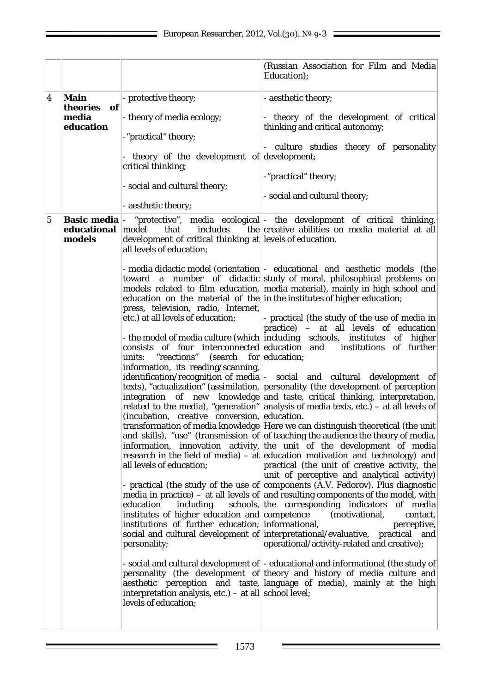|             |                       |                                                                                                                                              | (Russian Association for Film and Media)<br>Education);                                                                                                                                                                                                                                                                                                                                                                         |
|-------------|-----------------------|----------------------------------------------------------------------------------------------------------------------------------------------|---------------------------------------------------------------------------------------------------------------------------------------------------------------------------------------------------------------------------------------------------------------------------------------------------------------------------------------------------------------------------------------------------------------------------------|
| 4           | Main<br>theories of   | - protective theory;                                                                                                                         | - aesthetic theory;                                                                                                                                                                                                                                                                                                                                                                                                             |
|             | media<br>education    | - theory of media ecology;                                                                                                                   | - theory of the development of critical<br>thinking and critical autonomy;                                                                                                                                                                                                                                                                                                                                                      |
|             |                       | -"practical" theory;<br>- theory of the development of development;                                                                          | - culture studies theory of personality                                                                                                                                                                                                                                                                                                                                                                                         |
|             |                       | critical thinking;                                                                                                                           | -"practical" theory;                                                                                                                                                                                                                                                                                                                                                                                                            |
|             |                       | - social and cultural theory;                                                                                                                | - social and cultural theory;                                                                                                                                                                                                                                                                                                                                                                                                   |
|             |                       | - aesthetic theory;                                                                                                                          |                                                                                                                                                                                                                                                                                                                                                                                                                                 |
| $\mathbf 5$ | educational<br>models | includes<br>model<br>that<br>development of critical thinking at levels of education.<br>all levels of education;                            | <b>Basic media</b> - "protective", media ecological - the development of critical thinking,<br>the creative abilities on media material at all                                                                                                                                                                                                                                                                                  |
|             |                       | press, television, radio, Internet,                                                                                                          | - media didactic model (orientation - educational and aesthetic models (the<br>toward a number of didactic study of moral, philosophical problems on<br>models related to film education, media material), mainly in high school and<br>education on the material of the in the institutes of higher education;                                                                                                                 |
|             |                       | etc.) at all levels of education;<br>units: "reactions"<br>$\left( \text{search} \quad \text{for} \left  \text{eduction} \right. \right)$    | - practical (the study of the use of media in<br>practice) - at all levels of education<br>- the model of media culture (which including schools, institutes of higher<br>consists of four interconnected education and institutions of further                                                                                                                                                                                 |
|             |                       | information, its reading/scanning,<br>(incubation, creative conversion, education.                                                           | identification/recognition of media  - social and cultural development of<br>texts), "actualization" (assimilation, personality (the development of perception<br>integration of new knowledge and taste, critical thinking, interpretation,<br>related to the media), "generation" analysis of media texts, etc.) – at all levels of                                                                                           |
|             |                       | all levels of education;                                                                                                                     | transformation of media knowledge Here we can distinguish theoretical (the unit<br>and skills), "use" (transmission of of teaching the audience the theory of media,<br>information, innovation activity, the unit of the development of media<br>research in the field of media) – at education motivation and technology) and<br>practical (the unit of creative activity, the<br>unit of perceptive and analytical activity) |
|             |                       | education<br>including<br>institutes of higher education and competence<br>institutions of further education; informational,<br>personality; | - practical (the study of the use of components (A.V. Fedorov). Plus diagnostic<br>media in practice) – at all levels of and resulting components of the model, with<br>schools, the corresponding indicators of media<br>(motivational,<br>contact,<br>perceptive,<br>social and cultural development of interpretational/evaluative, practical and<br>operational/activity-related and creative);                             |
|             |                       | interpretation analysis, $etc.$ ) – at all school level;<br>levels of education;                                                             | - social and cultural development of  - educational and informational (the study of<br>personality (the development of theory and history of media culture and<br>aesthetic perception and taste, language of media), mainly at the high                                                                                                                                                                                        |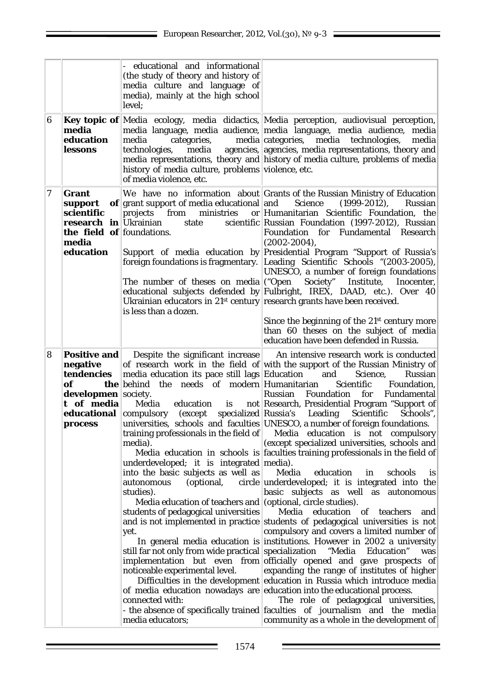|   |                                                                                                                          | educational and informational<br>(the study of theory and history of<br>media culture and language of<br>media), mainly at the high school<br>level;                                                                                                                                                                                                                                                                                                                                                                                                                                                                                                                            |                                                                                                                                                                                                                                                                                                                                                                                                                                                                                                                                                                                                                                                                                                                                                                                                                                                                                                                                                                                                                                                                                                                                                                                                                                                                                                                                                                                                                                                             |
|---|--------------------------------------------------------------------------------------------------------------------------|---------------------------------------------------------------------------------------------------------------------------------------------------------------------------------------------------------------------------------------------------------------------------------------------------------------------------------------------------------------------------------------------------------------------------------------------------------------------------------------------------------------------------------------------------------------------------------------------------------------------------------------------------------------------------------|-------------------------------------------------------------------------------------------------------------------------------------------------------------------------------------------------------------------------------------------------------------------------------------------------------------------------------------------------------------------------------------------------------------------------------------------------------------------------------------------------------------------------------------------------------------------------------------------------------------------------------------------------------------------------------------------------------------------------------------------------------------------------------------------------------------------------------------------------------------------------------------------------------------------------------------------------------------------------------------------------------------------------------------------------------------------------------------------------------------------------------------------------------------------------------------------------------------------------------------------------------------------------------------------------------------------------------------------------------------------------------------------------------------------------------------------------------------|
| 6 | media<br>education<br>lessons                                                                                            | media<br>categories,<br>media<br>technologies,<br>history of media culture, problems violence, etc.<br>of media violence, etc.                                                                                                                                                                                                                                                                                                                                                                                                                                                                                                                                                  | Key topic of Media ecology, media didactics, Media perception, audiovisual perception,<br>media language, media audience, media language, media audience, media<br>media categories, media technologies,<br>media<br>agencies, agencies, media representations, theory and<br>media representations, theory and history of media culture, problems of media                                                                                                                                                                                                                                                                                                                                                                                                                                                                                                                                                                                                                                                                                                                                                                                                                                                                                                                                                                                                                                                                                                 |
| 7 | <b>Grant</b><br>support<br>scientific<br><b>research in</b> Ukrainian<br>the field of foundations.<br>media<br>education | of grant support of media educational and<br>ministries<br>projects<br>from<br>state<br>foreign foundations is fragmentary.<br>The number of theses on media ("Open"<br>Ukrainian educators in $21^{st}$ century research grants have been received.<br>is less than a dozen.                                                                                                                                                                                                                                                                                                                                                                                                   | We have no information about Grants of the Russian Ministry of Education<br>Science<br>$(1999-2012),$<br>Russian<br>or Humanitarian Scientific Foundation, the<br>scientific Russian Foundation (1997-2012), Russian<br>Foundation for Fundamental Research<br>$(2002 - 2004)$ ,<br>Support of media education by Presidential Program "Support of Russia's<br>Leading Scientific Schools "(2003-2005),<br>UNESCO, a number of foreign foundations<br>Society" Institute,<br>Inocenter,<br>educational subjects defended by Fulbright, IREX, DAAD, etc.). Over 40<br>Since the beginning of the $21st$ century more<br>than 60 theses on the subject of media<br>education have been defended in Russia.                                                                                                                                                                                                                                                                                                                                                                                                                                                                                                                                                                                                                                                                                                                                                    |
| 8 | <b>Positive and</b><br>negative<br>tendencies<br>of<br><b>developmen</b> society.<br>t of media<br><b>process</b>        | Despite the significant increase<br>media education its pace still lags Education<br><b>the</b> behind the needs of modern Humanitarian<br>Media<br>education is<br><b>educational</b> compulsory (except specialized Russia's Leading<br>training professionals in the field of $\vert$<br>media).<br>underdeveloped; it is integrated media).<br>into the basic subjects as well as<br>(optional,<br>autonomous<br>studies).<br>Media education of teachers and (optional, circle studies).<br>students of pedagogical universities<br>yet.<br>still far not only from wide practical specialization<br>noticeable experimental level.<br>connected with:<br>media educators; | An intensive research work is conducted<br>of research work in the field of with the support of the Russian Ministry of<br>and<br>Russian<br>Science,<br>Scientific<br>Foundation,<br>Foundation<br>for<br>Fundamental<br>Russian<br>not Research, Presidential Program "Support of<br>Scientific<br>Schools",<br>universities, schools and faculties UNESCO, a number of foreign foundations.<br>Media education is not compulsory<br>(except specialized universities, schools and<br>Media education in schools is faculties training professionals in the field of<br>Media<br>education<br>schools<br>in<br><i>is</i><br>circle underdeveloped; it is integrated into the<br>basic subjects as well as autonomous<br>Media education<br>of teachers<br>and<br>and is not implemented in practice students of pedagogical universities is not<br>compulsory and covers a limited number of<br>In general media education is institutions. However in 2002 a university<br>"Media Education"<br>was<br>implementation but even from officially opened and gave prospects of<br>expanding the range of institutes of higher<br>Difficulties in the development education in Russia which introduce media<br>of media education nowadays are education into the educational process.<br>The role of pedagogical universities,<br>- the absence of specifically trained faculties of journalism and the media<br>community as a whole in the development of |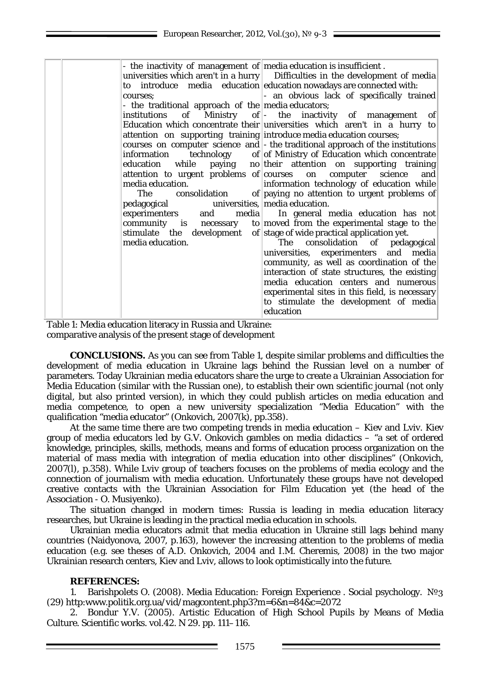| - the inactivity of management of media education is insufficient. |                                                                                |
|--------------------------------------------------------------------|--------------------------------------------------------------------------------|
|                                                                    | universities which aren't in a hurry Difficulties in the development of media  |
|                                                                    | to introduce media education education nowadays are connected with:            |
| courses:                                                           | - an obvious lack of specifically trained                                      |
| - the traditional approach of the media educators;                 |                                                                                |
|                                                                    | institutions of Ministry of - the inactivity of management<br>$ $ of           |
|                                                                    | Education which concentrate their universities which aren't in a hurry to      |
|                                                                    | attention on supporting training introduce media education courses;            |
|                                                                    | courses on computer science and - the traditional approach of the institutions |
|                                                                    | information technology of of Ministry of Education which concentrate           |
|                                                                    | education while paying no their attention on supporting training               |
|                                                                    | attention to urgent problems of courses on computer science<br>and             |
| media education.                                                   | information technology of education while                                      |
|                                                                    | The consolidation of paying no attention to urgent problems of                 |
| pedagogical universities, media education.                         |                                                                                |
|                                                                    | experimenters and media In general media education has not                     |
|                                                                    | community is necessary to moved from the experimental stage to the             |
|                                                                    | stimulate the development of stage of wide practical application yet.          |
| media education.                                                   | The consolidation of pedagogical                                               |
|                                                                    | universities, experimenters and media                                          |
|                                                                    | community, as well as coordination of the                                      |
|                                                                    | interaction of state structures, the existing                                  |
|                                                                    | media education centers and numerous                                           |
|                                                                    | experimental sites in this field, is necessary                                 |
|                                                                    | to stimulate the development of media                                          |
|                                                                    | education                                                                      |

Table 1: Media education literacy in Russia and Ukraine: comparative analysis of the present stage of development

**CONCLUSIONS.** As you can see from Table 1, despite similar problems and difficulties the development of media education in Ukraine lags behind the Russian level on a number of parameters. Today Ukrainian media educators share the urge to create a Ukrainian Association for Media Education (similar with the Russian one), to establish their own scientific journal (not only digital, but also printed version), in which they could publish articles on media education and media competence, to open a new university specialization "Media Education" with the qualification "media educator" (Onkovich, 2007(k), pp.358).

At the same time there are two competing trends in media education – Kiev and Lviv. Kiev group of media educators led by G.V. Onkovich gambles on *media didactics* – "a set of ordered knowledge, principles, skills, methods, means and forms of education process organization on the material of mass media with integration of media education into other disciplines" (Onkovich, 2007(l), p.358). While Lviv group of teachers focuses on the problems of media ecology and the connection of journalism with media education. Unfortunately these groups have not developed creative contacts with the Ukrainian Association for Film Education yet (the head of the Association - O. Musiyenko).

The situation changed in modern times: Russia is leading in media education literacy researches, but Ukraine is leading in the practical media education in schools.

Ukrainian media educators admit that media education in Ukraine still lags behind many countries (Naidyonova, 2007, p.163), however the increasing attention to the problems of media education (e.g. see theses of A.D. Onkovich, 2004 and I.M. Cheremis, 2008) in the two major Ukrainian research centers, Kiev and Lviv, allows to look optimistically into the future.

## **REFERENCES:**

1. Barishpolets O. (2008). Media Education: Foreign Experience . Social psychology. [№3](http://www.politik.org.ua/vid/magcontent.php3?m=6&n=84)  [\(29\)](http://www.politik.org.ua/vid/magcontent.php3?m=6&n=84) [http:www.politik.org.ua/vid/magcontent.php3?m=6&n=84&c=2072](http://www.politik.org.ua/vid/magcontent.php3?m=6&n=84&c=2072)

2. Bondur Y.V. (2005). Artistic Education of High School Pupils by Means of Media Culture. Scientific works. vol.42. N 29. pp. 111–116.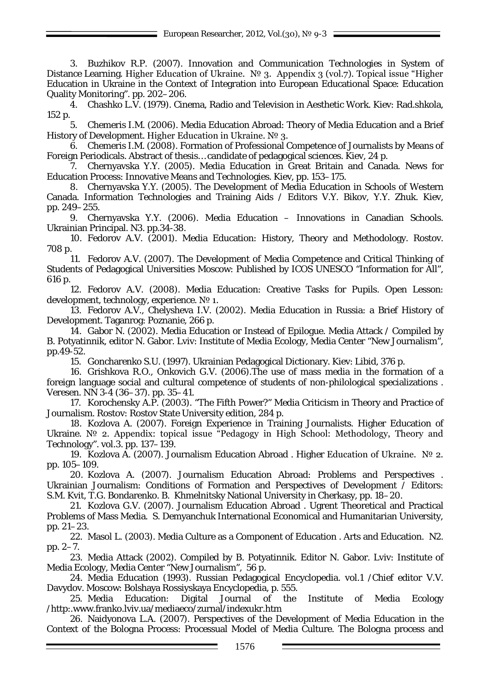3. Buzhikov R.P. (2007). Innovation and Communication Technologies in System of Distance Learning. Higher Education of Ukraine. № 3. Appendix 3 (vol.7). Topical issue "Higher Education in Ukraine in the Context of Integration into European Educational Space: Education Quality Monitoring". pp. 202–206.

4. Chashko L.V. (1979). Cinema, Radio and Television in Aesthetic Work. Kiev: Rad.shkola, 152 p.

5. Chemeris I.M. (2006). Media Education Abroad: Theory of Media Education and a Brief History of Development. Higher Education in Ukraine. № 3.

6. Chemeris I.M. (2008). Formation of Professional Competence of Journalists by Means of Foreign Periodicals. Abstract of thesis… candidate of pedagogical sciences. Kiev, 24 p.

7. Chernyavska Y.Y. (2005). Media Education in Great Britain and Canada. News for Education Process: Innovative Means and Technologies. Kiev, pp. 153–175.

8. Chernyavska Y.Y. (2005). The Development of Media Education in Schools of Western Canada. Information Technologies and Training Aids / Editors V.Y. Bikov, Y.Y. Zhuk. Kiev, pp. 249–255.

9. Chernyavska Y.Y. (2006). Media Education – Innovations in Canadian Schools. Ukrainian Principal. N3. pp.34-38.

10. Fedorov A.V. (2001). Media Education: History, Theory and Methodology. Rostov. 708 p.

11. Fedorov A.V. (2007). The Development of Media Competence and Critical Thinking of Students of Pedagogical Universities Moscow: Published by ICOS UNESCO "Information for All", 616 p.

12. Fedorov A.V. (2008). Media Education: Creative Tasks for Pupils. Open Lesson: development, technology, experience. № 1.

13. Fedorov A.V., Chelysheva I.V. (2002). Media Education in Russia: a Brief History of Development. Taganrog: Poznanie, 266 p.

14. Gabor N. (2002). Media Education or Instead of Epilogue. Media Attack / Compiled by B. Potyatinnik, editor N. Gabor. Lviv: Institute of Media Ecology, Media Center "New Journalism", pp.49-52.

15. Goncharenko S.U. (1997). Ukrainian Pedagogical Dictionary. Kiev: Libid, 376 p.

16. Grishkova R.O., Onkovich G.V. (2006).The use of mass media in the formation of a foreign language social and cultural competence of students of non-philological specializations . Veresen. NN 3-4 (36–37). pp. 35–41.

17. Korochensky A.P. (2003). "The Fifth Power?" Media Criticism in Theory and Practice of Journalism. Rostov: Rostov State University edition, 284 p.

18. Kozlova A. (2007). Foreign Experience in Training Journalists. Higher Education of Ukraine. № 2. Appendix: topical issue "Pedagogy in High School: Methodology, Theory and Technology". vol.3. pp. 137–139.

19. Kozlova A. (2007). Journalism Education Abroad . Higher Education of Ukraine. № 2. pp. 105–109.

20. Kozlova A. (2007). Journalism Education Abroad: Problems and Perspectives . Ukrainian Journalism: Conditions of Formation and Perspectives of Development  $\overline{\ }$  Editors: S.M. Kvit, T.G. Bondarenko. B. Khmelnitsky National University in Cherkasy, pp. 18–20.

21. Kozlova G.V. (2007). Journalism Education Abroad . Ugrent Theoretical and Practical Problems of Mass Media. S. Demyanchuk International Economical and Humanitarian University, pp. 21–23.

22. Masol L. (2003). Media Culture as a Component of Education . Arts and Education. N2. pp. 2–7.

23. Media Attack (2002). Compiled by B. Potyatinnik. Editor N. Gabor. Lviv: Institute of Media Ecology, Media Center "New Journalism", 56 p.

24. Media Education (1993). Russian Pedagogical Encyclopedia. vol.1 /Chief editor V.V. Davydov. Moscow: Bolshaya Rossiyskaya Encyclopedia, p. 555.

25. Media Education: Digital Journal of the Institute of Media Ecology [/http:.www.franko.lviv.ua/mediaeco/zurnal/indexukr.htm](http://www.franko.lviv.ua/mediaeco/zurnal/indexukr.htm)

26. Naidyonova L.A. (2007). Perspectives of the Development of Media Education in the Context of the Bologna Process: Processual Model of Media Culture. The Bologna process and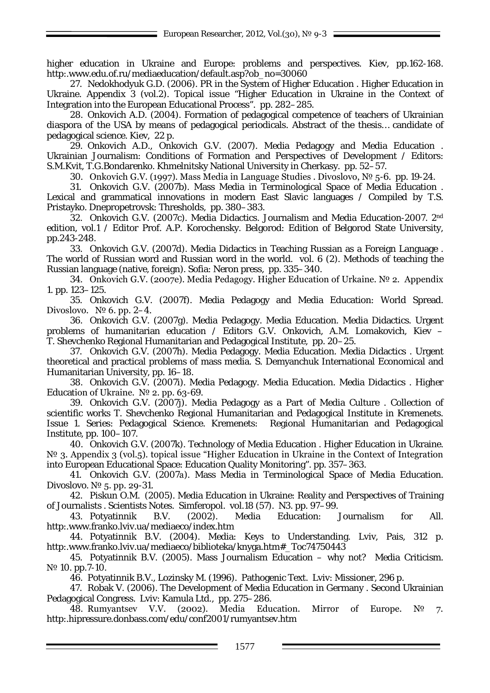higher education in Ukraine and Europe: problems and perspectives. Kiev, pp.162-168. [http:.www.edu.of.ru/mediaeducation/default.asp?ob\\_no=30060](http://www.edu.of.ru/mediaeducation/default.asp?ob_no=30060)

27. Nedokhodyuk G.D. (2006). PR in the System of Higher Education . Higher Education in Ukraine. Appendix 3 (vol.2). Topical issue "Higher Education in Ukraine in the Context of Integration into the European Educational Process". pp. 282–285.

28. Onkovich A.D. (2004). Formation of pedagogical competence of teachers of Ukrainian diaspora of the USA by means of pedagogical periodicals. Abstract of the thesis… candidate of pedagogical science. Kiev, 22 p.

29. Onkovich A.D., Onkovich G.V. (2007). Media Pedagogy and Media Education . Ukrainian Journalism: Conditions of Formation and Perspectives of Development / Editors: S.M.Kvit, T.G.Bondarenko. Khmelnitsky National University in Cherkasy. pp. 52–57.

30. Onkovich G.V. (1997). Mass Media in Language Studies . Divoslovo, № 5-6. pp. 19-24.

31. Onkovich G.V. (2007b). Mass Media in Terminological Space of Media Education . Lexical and grammatical innovations in modern East Slavic languages / Compiled by T.S. Pristayko. Dnepropetrovsk: Thresholds, pp. 380–383.

32. Onkovich G.V. (2007c). Media Didactics. Journalism and Media Education-2007. 2nd edition, vol.1 / Editor Prof. A.P. Korochensky. Belgorod: Edition of Belgorod State University, pp.243-248.

33. Onkovich G.V. (2007d). Media Didactics in Teaching Russian as a Foreign Language . The world of Russian word and Russian word in the world. vol. 6 (2). Methods of teaching the Russian language (native, foreign). Sofia: Neron press, pp. 335–340.

34. Onkovich G.V. (2007e). Media Pedagogy. Higher Education of Urkaine. № 2. Appendix 1. pp. 123–125.

35. Onkovich G.V. (2007f). Media Pedagogy and Media Education: World Spread. Divoslovo.  $N^{\circ}$  6. pp. 2–4.

36. Onkovich G.V. (2007g). Media Pedagogy. Media Education. Media Didactics. Urgent problems of humanitarian education / Editors G.V. Onkovich, A.M. Lomakovich, Kiev – T. Shevchenko Regional Humanitarian and Pedagogical Institute, pp. 20–25.

37. Onkovich G.V. (2007h). Media Pedagogy. Media Education. Media Didactics . Urgent theoretical and practical problems of mass media. S. Demyanchuk International Economical and Humanitarian University, pp. 16–18.

38. Onkovich G.V. (2007i). Media Pedagogy. Media Education. Media Didactics . Higher Education of Ukraine.  $N<sup>o</sup>$  2. pp. 63-69.

39. Onkovich G.V. (2007j). Media Pedagogy as a Part of Media Culture . Collection of scientific works T. Shevchenko Regional Humanitarian and Pedagogical Institute in Kremenets. Issue 1. Series: Pedagogical Science. Kremenets: Regional Humanitarian and Pedagogical Institute, pp. 100–107.

40. Onkovich G.V. (2007k). Technology of Media Education . Higher Education in Ukraine. N<sup>o</sup> 3. Appendix 3 (vol.5), topical issue "Higher Education in Ukraine in the Context of Integration into European Educational Space: Education Quality Monitoring". pp. 357–363.

41. Onkovich G.V. (2007а). Mass Media in Terminological Space of Media Education. Divoslovo.  $N^{\circ}$  5. pp. 29-31.

42. Piskun O.M. (2005). Media Education in Ukraine: Reality and Perspectives of Training of Journalists . Scientists Notes. Simferopol. vol.18 (57). N3. pp. 97–99.

43. Potyatinnik B.V. (2002). Media Education: Journalism for All. [http:.www.franko.lviv.ua/mediaeco/index.htm](http://www.franko.lviv.ua/mediaeco/index.htm)

44. Potyatinnik B.V. (2004). Media: Keys to Understanding. Lviv, Pais, 312 p. [http:.www.franko.lviv.ua/mediaeco/biblioteka/knyga.htm#\\_Toc74750443](http://www.franko.lviv.ua/mediaeco/biblioteka/knyga.htm#_Toc74750443)

45. Potyatinnik B.V. (2005). Mass Journalism Education – why not? Media Criticism. N<sup>o</sup> 10. pp.7-10.

46. Potyatinnik B.V., Lozinsky M. (1996). Pathogenic Text. Lviv: Missioner, 296 p.

47. Robak V. (2006). The Development of Media Education in Germany . Second Ukrainian Pedagogical Congress. Lviv: Kamula Ltd., pp. 275–286.

48. Rumyantsev V.V. (2002). Media Education. Mirror of Europe. № 7. [http:.hipressure.donbass.com/edu/conf2001/rumyantsev.htm](http://hipressure.donbass.com/edu/conf2001/rumyantsev.htm)